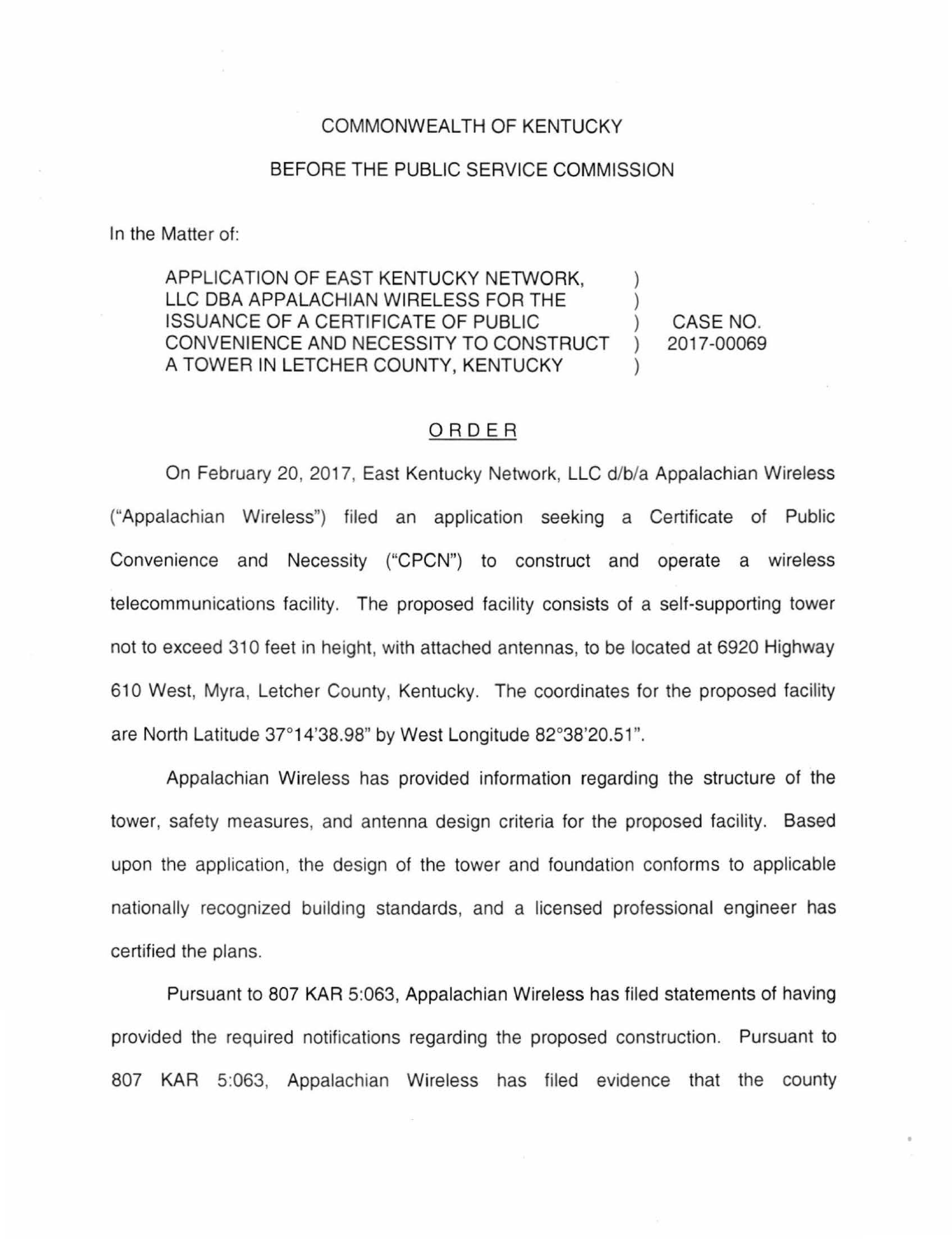## COMMONWEALTH OF KENTUCKY

## BEFORE THE PUBLIC SERVICE COMMISSION

In the Matter of:

APPLICATION OF EAST KENTUCKY NETWORK. LLC DBA APPALACHIAN WIRELESS FOR THE ISSUANCE OF A CERTIFICATE OF PUBLIC ) CASE NO. CONVENIENCE AND NECESSITY TO CONSTRUCT ) 2017-00069 A TOWER IN LETCHER COUNTY, KENTUCKY

## ORDER

On February 20, 2017, East Kentucky Network, LLC d/b/a Appalachian Wireless ("Appalachian Wireless") filed an application seeking a Certificate of Public Convenience and Necessity ("CPCN") to construct and operate a wireless telecommunications facility. The proposed facility consists of a self-supporting tower not to exceed 310 feet in height, with attached antennas, to be located at 6920 Highway 610 West, Myra, Letcher County, Kentucky. The coordinates for the proposed facility are North Latitude 37°14'38.98" by West Longitude 82°38'20.51".

Appalachian Wireless has provided information regarding the structure of the tower, safety measures, and antenna design criteria for the proposed facility. Based upon the application, the design of the tower and foundation conforms to applicable nationally recognized building standards, and a licensed professional engineer has certified the plans.

Pursuant to 807 KAR 5:063, Appalachian Wireless has filed statements of having provided the required notifications regarding the proposed construction. Pursuant to 807 KAR 5:063, Appalachian Wireless has filed evidence that the county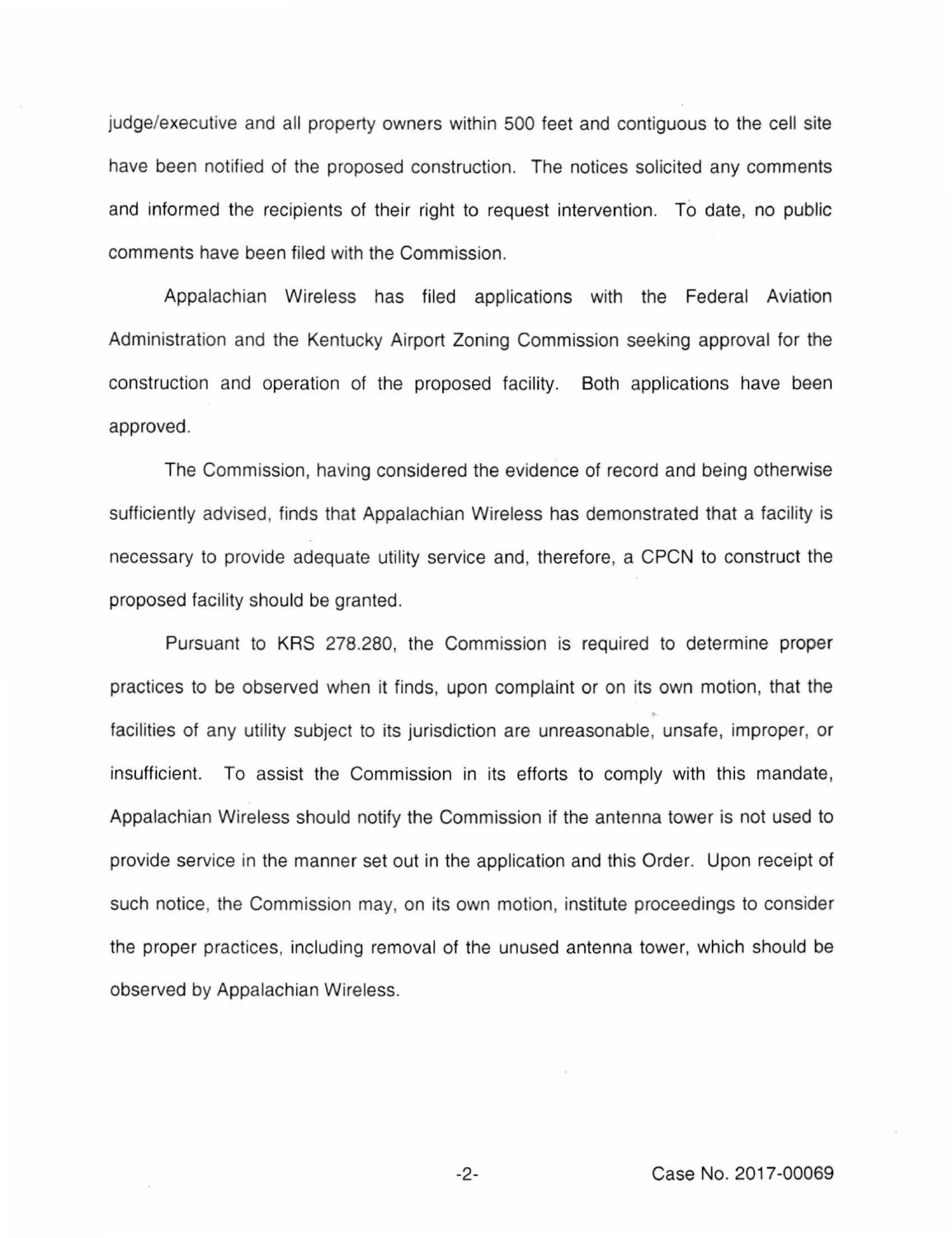judge/executive and all property owners within 500 feet and contiguous to the cell site have been notified of the proposed construction. The notices solicited any comments and informed the recipients of their right to request intervention. To date, no public comments have been filed with the Commission.

Appalachian Wireless has filed applications with the Federal Aviation Administration and the Kentucky Airport Zoning Commission seeking approval for the construction and operation of the proposed facility. Both applications have been approved.

The Commission, having considered the evidence of record and being otherwise sufficiently advised, finds that Appalachian Wireless has demonstrated that a facility is necessary to provide adequate utility service and, therefore, a CPCN to construct the proposed facility should be granted.

Pursuant to KRS 278.280, the Commission is required to determine proper practices to be observed when it finds, upon complaint or on its own motion, that the facilities of any utility subject to its jurisdiction are unreasonable, unsafe, improper, or insufficient. To assist the Commission in its efforts to comply with this mandate, Appalachian Wireless should notify the Commission if the antenna tower is not used to provide service in the manner set out in the application and this Order. Upon receipt of such notice, the Commission may, on its own motion, institute proceedings to consider the proper practices, including removal of the unused antenna tower, which should be observed by Appalachian Wireless.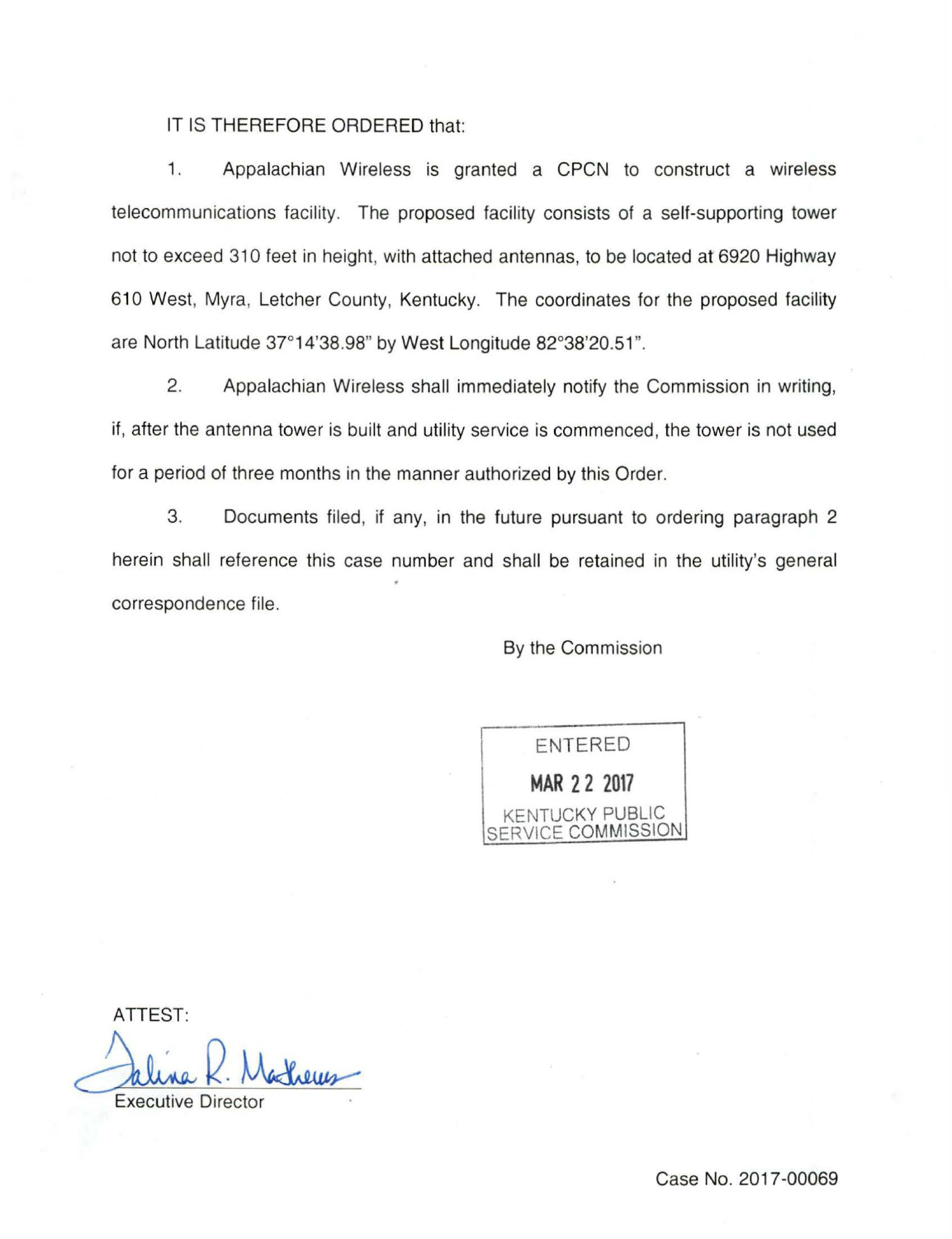## IT IS THEREFORE ORDERED that:

1. Appalachian Wireless is granted a CPCN to construct a wireless telecommunications facility. The proposed facility consists of a self-supporting tower not to exceed 310 feet in height, with attached antennas, to be located at 6920 Highway 610 West, Myra, Letcher County, Kentucky. The coordinates for the proposed facility are North Latitude 37°14'38.98" by West Longitude 82°38'20.51".

2. Appalachian Wireless shall immediately notify the Commission in writing, if, after the antenna tower is built and utility service is commenced , the tower is not used for a period of three months in the manner authorized by this Order.

3. Documents filed, if any, in the future pursuant to ordering paragraph 2 herein shall reference this case number and shall be retained in the utility's general correspondence file.

By the Commission

ENTERED **MAR 2 2 2017**  KENTUCKY PUBLIC *AICE COMMISSION* 

ATTEST:

Jaline R. Matheus

Case No. 2017-00069